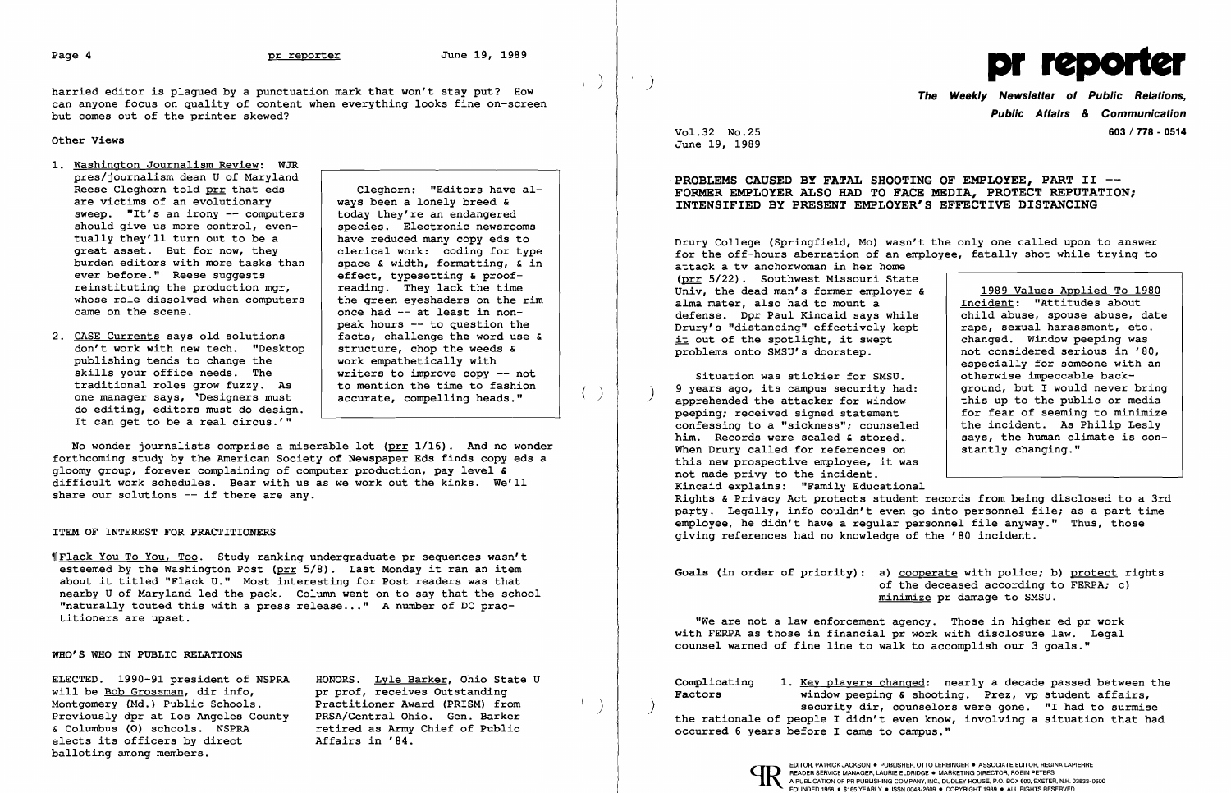$\big)$ 

 $\left\{ \right.$ 

 $\left($ 

harried editor is plagued by a punctuation mark that won't stay put? How can anyone focus on quality of content when everything looks fine on-screen but comes out of the printer skewed?

Other Views

- 1. Washington Journalism Review: WJR pres/journalism dean U of Maryland Reese Cleghorn told  $\frac{prr}{p}$  that eds cleghorn: "Editors have al-<br>are victims of an evolutionary ways been a lonely breed & are victims of an evolutionary  $\begin{array}{c|c} \n\text{ways been a long break} \n\text{sweep.} & \n\text{Tt's an irony -- computers} & \n\text{today they're an endangered} \n\end{array}$ sweep. "It's an irony  $-$  computers today they're an endangered should give us more control, even-<br>species. Electronic newsrooms should give us more control, even-<br>tually they'll turn out to be a have reduced many copy eds to tually they'll turn out to be a<br>great asset. But for now, they burden editors with more tasks than space & width, formatting,  $\overline{\phantom{a}}$  ever before." Reese suggests effect, typesetting & proofever before." Reese suggests effect, typesetting & proof-<br>reinstituting the production mgr, eading. They lack the time reinstituting the production mgr, a reading. They lack the time<br>whose role dissolved when computers the green eyeshaders on the rim whose role dissolved when computers came on the scene.
- 2. CASE Currents says old solutions facts, challenge the word use don't work with new tech. "Desktop structure, chop the weeds & don't work with new tech. "Desktop structure, chop the weeds publishing tends to change the work empathetically with publishing tends to change the skills your office needs. The traditional roles grow fuzzy. As to mention the time to fashione manager says, 'Designers must accurate, compelling heads." one manager says, 'Designers must do editing, editors must do design. It can get to be a real circus.'"

clerical work: coding for type<br>space  $\varepsilon$  width, formatting,  $\varepsilon$  in once had -- at least in nonpeak hours -- to question the<br>facts, challenge the word use & writers to improve copy -- not<br>to mention the time to fashion

No wonder journalists comprise a miserable lot  $(prr 1/16)$ . And no wonder forthcoming study by the American Society of Newspaper Eds finds copy eds a gloomy group, forever complaining of computer production, pay level & difficult work schedules. Bear with us as we work out the kinks. We'll share our solutions -- if there are any.

will be <u>Bob Grossman</u>, dir info, pr prof, receives Outstanding<br>Montgomery (Md.) Public Schools. Practitioner Award (PRISM) from Montgomery (Md.) Public Schools. Practitioner Award (PRISM) from Previously dpr at Los Angeles County<br>& Columbus (O) schools. NSPRA elects its officers by direct balloting among members.

ELECTED. 1990-91 president of NSPRA HONORS. <u>Lyle Barker</u>, Ohio State U<br>will be <u>Bob Grossman</u>, dir info, by prof, receives Outstanding retired as Army Chief of Public<br>Affairs in '84.

Drury College (Springfield, Mo) wasn't the only one called upon to answer for the off-hours aberration of an employee, fatally shot while trying to attack a tv anchorwoman in her home (prr 5/22). Southwest Missouri State Univ, the dead man's former employer alma mater, also had to mount a defense. Dpr Paul Kincaid says while Drury's "distancing" effectively kept it out of the spotlight, it swept problems onto SMSU's doorstep.

## ITEM OF INTEREST FOR PRACTITIONERS

'IFlack You To You, Too. Study ranking undergraduate pr sequences wasn't esteemed by the Washington Post (prr 5/8). Last Monday it ran an item about it titled "Flack U." Most interesting for Post readers was that nearby U of Maryland led the pack. Column went on to say that the school "naturally touted this with a press release..." A number of DC practitioners are upset.

WHO'S WHO IN PUBLIC RELATIONS

Situation was stickier for SMSU.<br>9 years ago, its campus security had 9 years ago, its campus security had: ground, but I would never bring apprehended the attacker for window this up to the public or media peeping; received signed statement for fear of seeming to minimize confessing to a "sickness"; counseled him. Records were sealed  $s$  stored. When Drury called for references on this new prospective employee, it was not made privy to the incident. Kincaid explains: "Family Educational Rights & Privacy Act protects student records from being disclosed to a 3rd party. Legally, info couldn't even go into personnel file; as a part-time employee, he didn't have a regular personnel file anyway." Thus, those giving references had no knowledge of the '80 incident.

Goals (in order of priority): a) cooperate with police; b) protect rights of the deceased according to FERPA; c) minimize pr damage to SMSU.

Complicating 1. <u>Key players changed</u>: nearly a decade passed between the **Factors** window peeping & shooting. Prez, vp student affairs, window peeping  $\&$  shooting. Prez, vp student affairs, security dir, counselors were gone. "I had to surmise the rationale of people I didn't even know, involving a situation that had occurred 6 years before I came to campus."



)



The Weekly Newsletter of Public Relations, Public Affairs & Communication 603 / 778 - 0514

Vol. 32 No.25 June 19, 1989

## PROBLEMS CAUSED BY FATAL SH PROBLEMS CAUSED BY FATAL SHOOTING OF EMPLOYEE, PART II --<br>FORMER EMPLOYER ALSO HAD TO FACE MEDIA, PROTECT REPUTATION; INTENSIFIED BY PRESENT EMPLOYER'S EFFECTIVE DISTANCING

| ≏  |                                 |
|----|---------------------------------|
| £  | 1989 Values Applied To 1980     |
|    | Incident: "Attitudes about      |
| e  | child abuse, spouse abuse, date |
| Ë. | rape, sexual harassment, etc.   |
|    | changed. Window peeping was     |
|    | not considered serious in '80,  |
|    | especially for someone with an  |
|    | otherwise impeccable back-      |
|    | ground, but I would never bring |
|    | this up to the public or media  |
|    | for fear of seeming to minimize |
| d  | the incident. As Philip Lesly   |
|    | says, the human climate is con- |
|    | stantly changing."              |
| a  |                                 |
|    |                                 |

"We are not a law enforcement agency. Those in higher ed pr work with FERPA as those in financial pr work with disclosure law. Legal counsel warned of fine line to walk to accomplish our 3 goals."